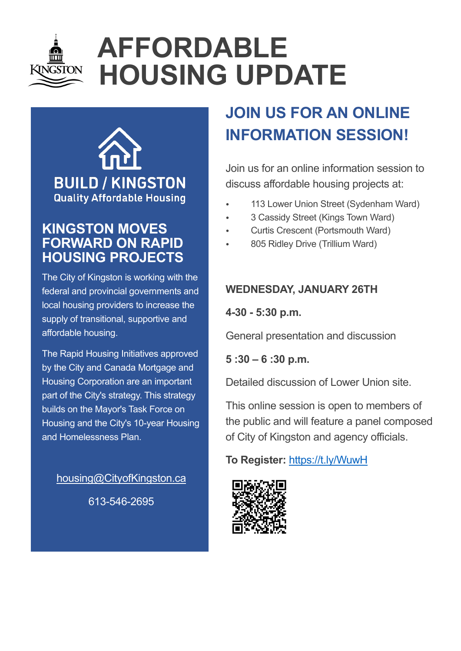

# **AFFORDABLE HOUSING UPDATE**



# **KINGSTON MOVES FORWARD ON RAPID HOUSING PROJECTS**

The City of Kingston is working with the federal and provincial governments and local housing providers to increase the supply of transitional, supportive and affordable housing.

The Rapid Housing Initiatives approved by the City and Canada Mortgage and Housing Corporation are an important part of the City's strategy. This strategy builds on the Mayor's Task Force on Housing and the City's 10-year Housing and Homelessness Plan.

[housing@CityofKingston.ca](mailto:housing@CityofKingston.ca)

613-546-2695

# **JOIN US FOR AN ONLINE INFORMATION SESSION!**

Join us for an online information session to discuss affordable housing projects at:

- 113 Lower Union Street (Sydenham Ward)
- 3 Cassidy Street (Kings Town Ward)
- Curtis Crescent (Portsmouth Ward)
- 805 Ridley Drive (Trillium Ward)

# **WEDNESDAY, JANUARY 26TH**

### **4-30 - 5:30 p.m.**

General presentation and discussion

# **5 :30 – 6 :30 p.m.**

Detailed discussion of Lower Union site.

This online session is open to members of the public and will feature a panel composed of City of Kingston and agency officials.

# **To Register:** <https://t.ly/WuwH>